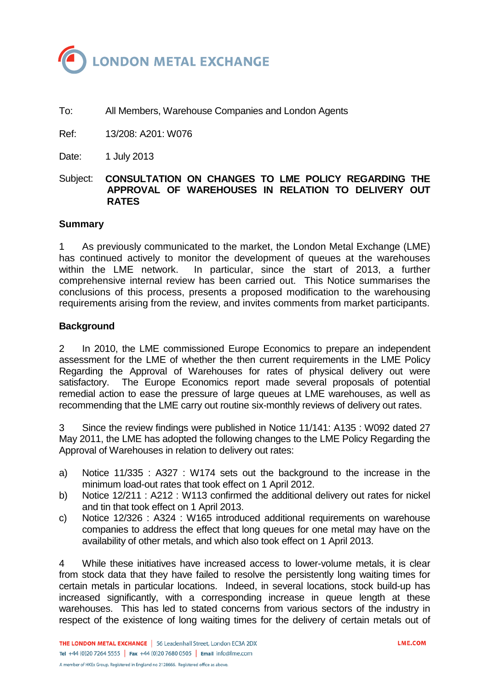

To: All Members, Warehouse Companies and London Agents

Ref: 13/208: A201: W076

Date: 1 July 2013

Subject: **CONSULTATION ON CHANGES TO LME POLICY REGARDING THE APPROVAL OF WAREHOUSES IN RELATION TO DELIVERY OUT RATES**

## **Summary**

1 As previously communicated to the market, the London Metal Exchange (LME) has continued actively to monitor the development of queues at the warehouses within the LME network. In particular, since the start of 2013, a further comprehensive internal review has been carried out. This Notice summarises the conclusions of this process, presents a proposed modification to the warehousing requirements arising from the review, and invites comments from market participants.

## **Background**

2 In 2010, the LME commissioned Europe Economics to prepare an independent assessment for the LME of whether the then current requirements in the LME Policy Regarding the Approval of Warehouses for rates of physical delivery out were satisfactory. The Europe Economics report made several proposals of potential remedial action to ease the pressure of large queues at LME warehouses, as well as recommending that the LME carry out routine six-monthly reviews of delivery out rates.

3 Since the review findings were published in Notice 11/141: A135 : W092 dated 27 May 2011, the LME has adopted the following changes to the LME Policy Regarding the Approval of Warehouses in relation to delivery out rates:

- a) Notice 11/335 : A327 : W174 sets out the background to the increase in the minimum load-out rates that took effect on 1 April 2012.
- b) Notice 12/211 : A212 : W113 confirmed the additional delivery out rates for nickel and tin that took effect on 1 April 2013.
- c) Notice 12/326 : A324 : W165 introduced additional requirements on warehouse companies to address the effect that long queues for one metal may have on the availability of other metals, and which also took effect on 1 April 2013.

4 While these initiatives have increased access to lower-volume metals, it is clear from stock data that they have failed to resolve the persistently long waiting times for certain metals in particular locations. Indeed, in several locations, stock build-up has increased significantly, with a corresponding increase in queue length at these warehouses. This has led to stated concerns from various sectors of the industry in respect of the existence of long waiting times for the delivery of certain metals out of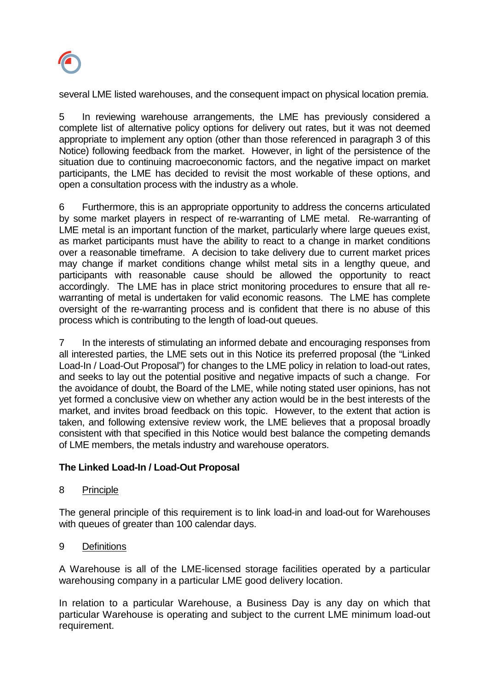

several LME listed warehouses, and the consequent impact on physical location premia.

5 In reviewing warehouse arrangements, the LME has previously considered a complete list of alternative policy options for delivery out rates, but it was not deemed appropriate to implement any option (other than those referenced in paragraph 3 of this Notice) following feedback from the market. However, in light of the persistence of the situation due to continuing macroeconomic factors, and the negative impact on market participants, the LME has decided to revisit the most workable of these options, and open a consultation process with the industry as a whole.

6 Furthermore, this is an appropriate opportunity to address the concerns articulated by some market players in respect of re-warranting of LME metal. Re-warranting of LME metal is an important function of the market, particularly where large queues exist, as market participants must have the ability to react to a change in market conditions over a reasonable timeframe. A decision to take delivery due to current market prices may change if market conditions change whilst metal sits in a lengthy queue, and participants with reasonable cause should be allowed the opportunity to react accordingly. The LME has in place strict monitoring procedures to ensure that all rewarranting of metal is undertaken for valid economic reasons. The LME has complete oversight of the re-warranting process and is confident that there is no abuse of this process which is contributing to the length of load-out queues.

7 In the interests of stimulating an informed debate and encouraging responses from all interested parties, the LME sets out in this Notice its preferred proposal (the "Linked Load-In / Load-Out Proposal") for changes to the LME policy in relation to load-out rates, and seeks to lay out the potential positive and negative impacts of such a change. For the avoidance of doubt, the Board of the LME, while noting stated user opinions, has not yet formed a conclusive view on whether any action would be in the best interests of the market, and invites broad feedback on this topic. However, to the extent that action is taken, and following extensive review work, the LME believes that a proposal broadly consistent with that specified in this Notice would best balance the competing demands of LME members, the metals industry and warehouse operators.

# **The Linked Load-In / Load-Out Proposal**

# 8 Principle

The general principle of this requirement is to link load-in and load-out for Warehouses with queues of greater than 100 calendar days.

9 Definitions

A Warehouse is all of the LME-licensed storage facilities operated by a particular warehousing company in a particular LME good delivery location.

In relation to a particular Warehouse, a Business Day is any day on which that particular Warehouse is operating and subject to the current LME minimum load-out requirement.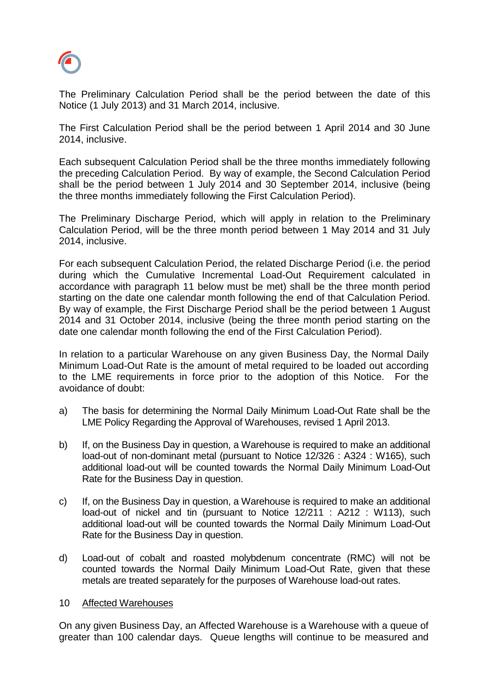

The Preliminary Calculation Period shall be the period between the date of this Notice (1 July 2013) and 31 March 2014, inclusive.

The First Calculation Period shall be the period between 1 April 2014 and 30 June 2014, inclusive.

Each subsequent Calculation Period shall be the three months immediately following the preceding Calculation Period. By way of example, the Second Calculation Period shall be the period between 1 July 2014 and 30 September 2014, inclusive (being the three months immediately following the First Calculation Period).

The Preliminary Discharge Period, which will apply in relation to the Preliminary Calculation Period, will be the three month period between 1 May 2014 and 31 July 2014, inclusive.

For each subsequent Calculation Period, the related Discharge Period (i.e. the period during which the Cumulative Incremental Load-Out Requirement calculated in accordance with paragraph 11 below must be met) shall be the three month period starting on the date one calendar month following the end of that Calculation Period. By way of example, the First Discharge Period shall be the period between 1 August 2014 and 31 October 2014, inclusive (being the three month period starting on the date one calendar month following the end of the First Calculation Period).

In relation to a particular Warehouse on any given Business Day, the Normal Daily Minimum Load-Out Rate is the amount of metal required to be loaded out according to the LME requirements in force prior to the adoption of this Notice. For the avoidance of doubt:

- a) The basis for determining the Normal Daily Minimum Load-Out Rate shall be the LME Policy Regarding the Approval of Warehouses, revised 1 April 2013.
- b) If, on the Business Day in question, a Warehouse is required to make an additional load-out of non-dominant metal (pursuant to Notice 12/326 : A324 : W165), such additional load-out will be counted towards the Normal Daily Minimum Load-Out Rate for the Business Day in question.
- c) If, on the Business Day in question, a Warehouse is required to make an additional load-out of nickel and tin (pursuant to Notice 12/211 : A212 : W113), such additional load-out will be counted towards the Normal Daily Minimum Load-Out Rate for the Business Day in question.
- d) Load-out of cobalt and roasted molybdenum concentrate (RMC) will not be counted towards the Normal Daily Minimum Load-Out Rate, given that these metals are treated separately for the purposes of Warehouse load-out rates.

### 10 Affected Warehouses

On any given Business Day, an Affected Warehouse is a Warehouse with a queue of greater than 100 calendar days. Queue lengths will continue to be measured and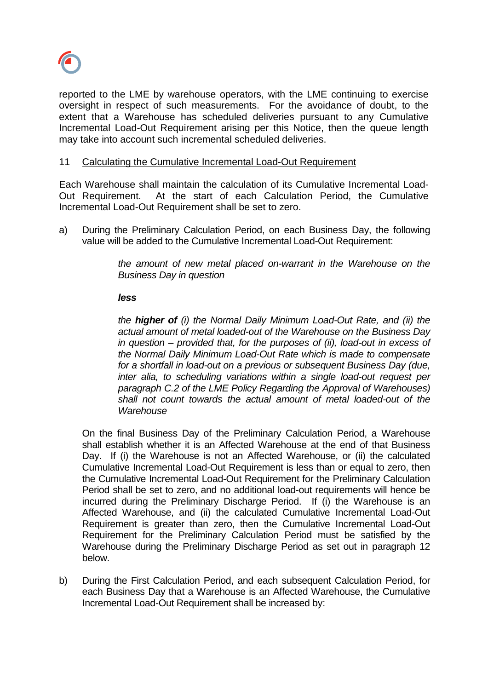

reported to the LME by warehouse operators, with the LME continuing to exercise oversight in respect of such measurements. For the avoidance of doubt, to the extent that a Warehouse has scheduled deliveries pursuant to any Cumulative Incremental Load-Out Requirement arising per this Notice, then the queue length may take into account such incremental scheduled deliveries.

## 11 Calculating the Cumulative Incremental Load-Out Requirement

Each Warehouse shall maintain the calculation of its Cumulative Incremental Load-Out Requirement. At the start of each Calculation Period, the Cumulative Incremental Load-Out Requirement shall be set to zero.

a) During the Preliminary Calculation Period, on each Business Day, the following value will be added to the Cumulative Incremental Load-Out Requirement:

> *the amount of new metal placed on-warrant in the Warehouse on the Business Day in question*

#### *less*

*the higher of (i) the Normal Daily Minimum Load-Out Rate, and (ii) the actual amount of metal loaded-out of the Warehouse on the Business Day in question – provided that, for the purposes of (ii), load-out in excess of the Normal Daily Minimum Load-Out Rate which is made to compensate for a shortfall in load-out on a previous or subsequent Business Day (due, inter alia, to scheduling variations within a single load-out request per paragraph C.2 of the LME Policy Regarding the Approval of Warehouses) shall not count towards the actual amount of metal loaded-out of the Warehouse*

On the final Business Day of the Preliminary Calculation Period, a Warehouse shall establish whether it is an Affected Warehouse at the end of that Business Day. If (i) the Warehouse is not an Affected Warehouse, or (ii) the calculated Cumulative Incremental Load-Out Requirement is less than or equal to zero, then the Cumulative Incremental Load-Out Requirement for the Preliminary Calculation Period shall be set to zero, and no additional load-out requirements will hence be incurred during the Preliminary Discharge Period. If (i) the Warehouse is an Affected Warehouse, and (ii) the calculated Cumulative Incremental Load-Out Requirement is greater than zero, then the Cumulative Incremental Load-Out Requirement for the Preliminary Calculation Period must be satisfied by the Warehouse during the Preliminary Discharge Period as set out in paragraph 12 below.

b) During the First Calculation Period, and each subsequent Calculation Period, for each Business Day that a Warehouse is an Affected Warehouse, the Cumulative Incremental Load-Out Requirement shall be increased by: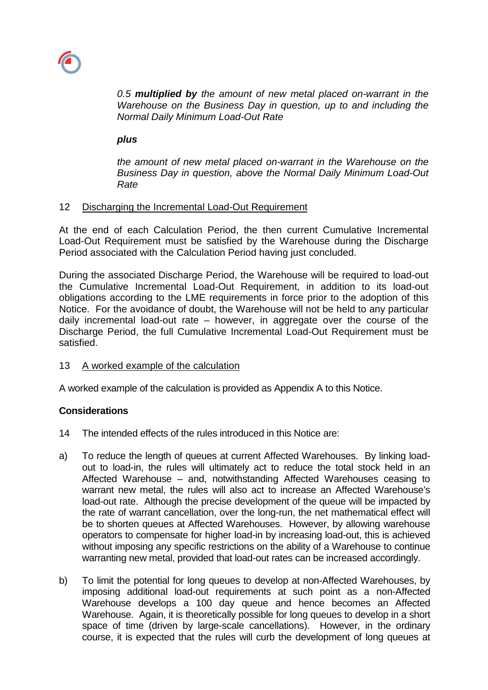

*0.5 multiplied by the amount of new metal placed on-warrant in the Warehouse on the Business Day in question, up to and including the Normal Daily Minimum Load-Out Rate*

## *plus*

*the amount of new metal placed on-warrant in the Warehouse on the Business Day in question, above the Normal Daily Minimum Load-Out Rate*

## 12 Discharging the Incremental Load-Out Requirement

At the end of each Calculation Period, the then current Cumulative Incremental Load-Out Requirement must be satisfied by the Warehouse during the Discharge Period associated with the Calculation Period having just concluded.

During the associated Discharge Period, the Warehouse will be required to load-out the Cumulative Incremental Load-Out Requirement, in addition to its load-out obligations according to the LME requirements in force prior to the adoption of this Notice. For the avoidance of doubt, the Warehouse will not be held to any particular daily incremental load-out rate – however, in aggregate over the course of the Discharge Period, the full Cumulative Incremental Load-Out Requirement must be satisfied.

# 13 A worked example of the calculation

A worked example of the calculation is provided as Appendix A to this Notice.

# **Considerations**

- 14 The intended effects of the rules introduced in this Notice are:
- a) To reduce the length of queues at current Affected Warehouses. By linking loadout to load-in, the rules will ultimately act to reduce the total stock held in an Affected Warehouse – and, notwithstanding Affected Warehouses ceasing to warrant new metal, the rules will also act to increase an Affected Warehouse's load-out rate. Although the precise development of the queue will be impacted by the rate of warrant cancellation, over the long-run, the net mathematical effect will be to shorten queues at Affected Warehouses. However, by allowing warehouse operators to compensate for higher load-in by increasing load-out, this is achieved without imposing any specific restrictions on the ability of a Warehouse to continue warranting new metal, provided that load-out rates can be increased accordingly.
- b) To limit the potential for long queues to develop at non-Affected Warehouses, by imposing additional load-out requirements at such point as a non-Affected Warehouse develops a 100 day queue and hence becomes an Affected Warehouse. Again, it is theoretically possible for long queues to develop in a short space of time (driven by large-scale cancellations). However, in the ordinary course, it is expected that the rules will curb the development of long queues at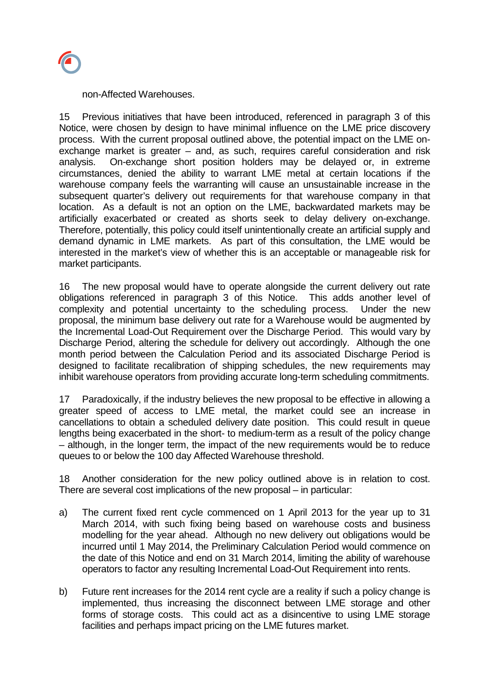

non-Affected Warehouses.

15 Previous initiatives that have been introduced, referenced in paragraph 3 of this Notice, were chosen by design to have minimal influence on the LME price discovery process. With the current proposal outlined above, the potential impact on the LME onexchange market is greater – and, as such, requires careful consideration and risk analysis. On-exchange short position holders may be delayed or, in extreme circumstances, denied the ability to warrant LME metal at certain locations if the warehouse company feels the warranting will cause an unsustainable increase in the subsequent quarter's delivery out requirements for that warehouse company in that location. As a default is not an option on the LME, backwardated markets may be artificially exacerbated or created as shorts seek to delay delivery on-exchange. Therefore, potentially, this policy could itself unintentionally create an artificial supply and demand dynamic in LME markets. As part of this consultation, the LME would be interested in the market's view of whether this is an acceptable or manageable risk for market participants.

16 The new proposal would have to operate alongside the current delivery out rate obligations referenced in paragraph 3 of this Notice. This adds another level of complexity and potential uncertainty to the scheduling process. Under the new proposal, the minimum base delivery out rate for a Warehouse would be augmented by the Incremental Load-Out Requirement over the Discharge Period. This would vary by Discharge Period, altering the schedule for delivery out accordingly. Although the one month period between the Calculation Period and its associated Discharge Period is designed to facilitate recalibration of shipping schedules, the new requirements may inhibit warehouse operators from providing accurate long-term scheduling commitments.

17 Paradoxically, if the industry believes the new proposal to be effective in allowing a greater speed of access to LME metal, the market could see an increase in cancellations to obtain a scheduled delivery date position. This could result in queue lengths being exacerbated in the short- to medium-term as a result of the policy change – although, in the longer term, the impact of the new requirements would be to reduce queues to or below the 100 day Affected Warehouse threshold.

18 Another consideration for the new policy outlined above is in relation to cost. There are several cost implications of the new proposal – in particular:

- a) The current fixed rent cycle commenced on 1 April 2013 for the year up to 31 March 2014, with such fixing being based on warehouse costs and business modelling for the year ahead. Although no new delivery out obligations would be incurred until 1 May 2014, the Preliminary Calculation Period would commence on the date of this Notice and end on 31 March 2014, limiting the ability of warehouse operators to factor any resulting Incremental Load-Out Requirement into rents.
- b) Future rent increases for the 2014 rent cycle are a reality if such a policy change is implemented, thus increasing the disconnect between LME storage and other forms of storage costs. This could act as a disincentive to using LME storage facilities and perhaps impact pricing on the LME futures market.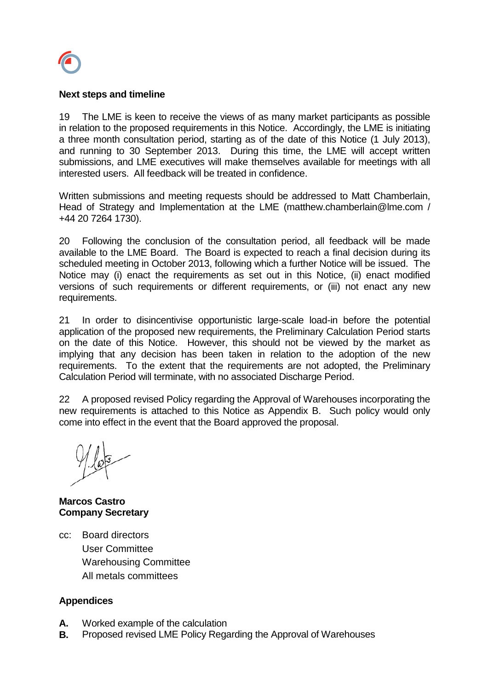

## **Next steps and timeline**

19 The LME is keen to receive the views of as many market participants as possible in relation to the proposed requirements in this Notice. Accordingly, the LME is initiating a three month consultation period, starting as of the date of this Notice (1 July 2013), and running to 30 September 2013. During this time, the LME will accept written submissions, and LME executives will make themselves available for meetings with all interested users. All feedback will be treated in confidence.

Written submissions and meeting requests should be addressed to Matt Chamberlain, Head of Strategy and Implementation at the LME [\(matthew.chamberlain@lme.](mailto:matthew.chamberlain@lme)com / +44 20 7264 1730).

20 Following the conclusion of the consultation period, all feedback will be made available to the LME Board. The Board is expected to reach a final decision during its scheduled meeting in October 2013, following which a further Notice will be issued. The Notice may (i) enact the requirements as set out in this Notice, (ii) enact modified versions of such requirements or different requirements, or (iii) not enact any new requirements.

21 In order to disincentivise opportunistic large-scale load-in before the potential application of the proposed new requirements, the Preliminary Calculation Period starts on the date of this Notice. However, this should not be viewed by the market as implying that any decision has been taken in relation to the adoption of the new requirements. To the extent that the requirements are not adopted, the Preliminary Calculation Period will terminate, with no associated Discharge Period.

22 A proposed revised Policy regarding the Approval of Warehouses incorporating the new requirements is attached to this Notice as Appendix B. Such policy would only come into effect in the event that the Board approved the proposal.

**Marcos Castro Company Secretary**

cc: Board directors User Committee Warehousing Committee All metals committees

# **Appendices**

- **A.** Worked example of the calculation
- **B.** Proposed revised LME Policy Regarding the Approval of Warehouses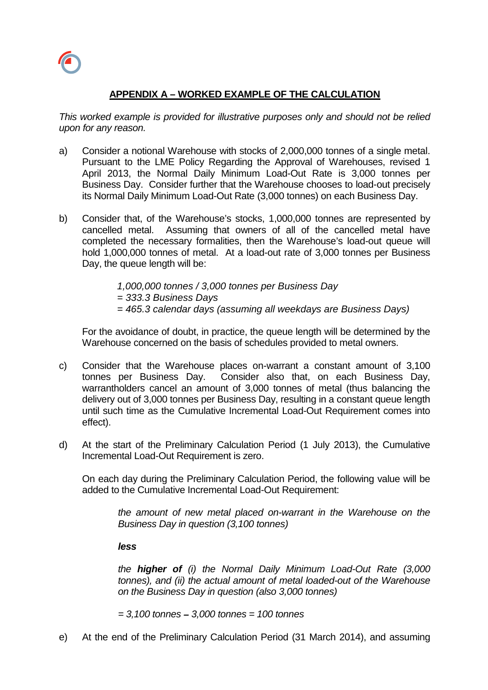

# **APPENDIX A – WORKED EXAMPLE OF THE CALCULATION**

*This worked example is provided for illustrative purposes only and should not be relied upon for any reason.*

- a) Consider a notional Warehouse with stocks of 2,000,000 tonnes of a single metal. Pursuant to the LME Policy Regarding the Approval of Warehouses, revised 1 April 2013, the Normal Daily Minimum Load-Out Rate is 3,000 tonnes per Business Day. Consider further that the Warehouse chooses to load-out precisely its Normal Daily Minimum Load-Out Rate (3,000 tonnes) on each Business Day.
- b) Consider that, of the Warehouse's stocks, 1,000,000 tonnes are represented by cancelled metal. Assuming that owners of all of the cancelled metal have completed the necessary formalities, then the Warehouse's load-out queue will hold 1,000,000 tonnes of metal. At a load-out rate of 3,000 tonnes per Business Day, the queue length will be:

*1,000,000 tonnes / 3,000 tonnes per Business Day = 333.3 Business Days = 465.3 calendar days (assuming all weekdays are Business Days)*

For the avoidance of doubt, in practice, the queue length will be determined by the Warehouse concerned on the basis of schedules provided to metal owners.

- c) Consider that the Warehouse places on-warrant a constant amount of 3,100 tonnes per Business Day. Consider also that, on each Business Day, warrantholders cancel an amount of 3,000 tonnes of metal (thus balancing the delivery out of 3,000 tonnes per Business Day, resulting in a constant queue length until such time as the Cumulative Incremental Load-Out Requirement comes into effect).
- d) At the start of the Preliminary Calculation Period (1 July 2013), the Cumulative Incremental Load-Out Requirement is zero.

On each day during the Preliminary Calculation Period, the following value will be added to the Cumulative Incremental Load-Out Requirement:

> *the amount of new metal placed on-warrant in the Warehouse on the Business Day in question (3,100 tonnes)*

*less*

*the higher of (i) the Normal Daily Minimum Load-Out Rate (3,000 tonnes), and (ii) the actual amount of metal loaded-out of the Warehouse on the Business Day in question (also 3,000 tonnes)*

*= 3,100 tonnes – 3,000 tonnes = 100 tonnes*

e) At the end of the Preliminary Calculation Period (31 March 2014), and assuming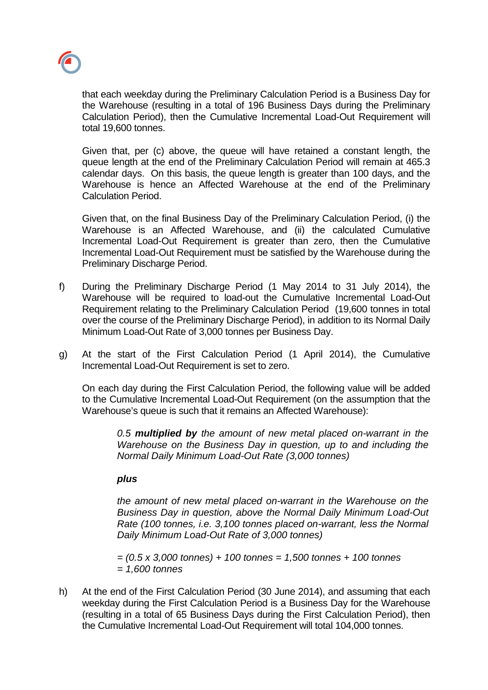

that each weekday during the Preliminary Calculation Period is a Business Day for the Warehouse (resulting in a total of 196 Business Days during the Preliminary Calculation Period), then the Cumulative Incremental Load-Out Requirement will total 19,600 tonnes.

Given that, per (c) above, the queue will have retained a constant length, the queue length at the end of the Preliminary Calculation Period will remain at 465.3 calendar days. On this basis, the queue length is greater than 100 days, and the Warehouse is hence an Affected Warehouse at the end of the Preliminary Calculation Period.

Given that, on the final Business Day of the Preliminary Calculation Period, (i) the Warehouse is an Affected Warehouse, and (ii) the calculated Cumulative Incremental Load-Out Requirement is greater than zero, then the Cumulative Incremental Load-Out Requirement must be satisfied by the Warehouse during the Preliminary Discharge Period.

- f) During the Preliminary Discharge Period (1 May 2014 to 31 July 2014), the Warehouse will be required to load-out the Cumulative Incremental Load-Out Requirement relating to the Preliminary Calculation Period (19,600 tonnes in total over the course of the Preliminary Discharge Period), in addition to its Normal Daily Minimum Load-Out Rate of 3,000 tonnes per Business Day.
- g) At the start of the First Calculation Period (1 April 2014), the Cumulative Incremental Load-Out Requirement is set to zero.

On each day during the First Calculation Period, the following value will be added to the Cumulative Incremental Load-Out Requirement (on the assumption that the Warehouse's queue is such that it remains an Affected Warehouse):

*0.5 multiplied by the amount of new metal placed on-warrant in the Warehouse on the Business Day in question, up to and including the Normal Daily Minimum Load-Out Rate (3,000 tonnes)*

### *plus*

*the amount of new metal placed on-warrant in the Warehouse on the Business Day in question, above the Normal Daily Minimum Load-Out Rate (100 tonnes, i.e. 3,100 tonnes placed on-warrant, less the Normal Daily Minimum Load-Out Rate of 3,000 tonnes)*

*= (0.5 x 3,000 tonnes) + 100 tonnes = 1,500 tonnes + 100 tonnes = 1,600 tonnes*

h) At the end of the First Calculation Period (30 June 2014), and assuming that each weekday during the First Calculation Period is a Business Day for the Warehouse (resulting in a total of 65 Business Days during the First Calculation Period), then the Cumulative Incremental Load-Out Requirement will total 104,000 tonnes.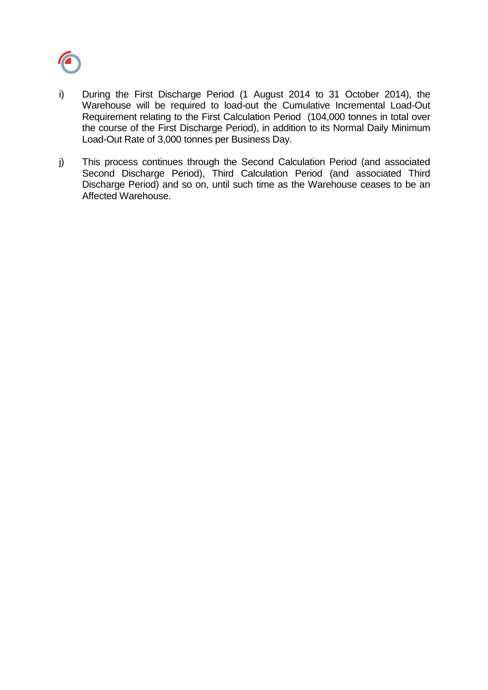

- i) During the First Discharge Period (1 August 2014 to 31 October 2014), the Warehouse will be required to load-out the Cumulative Incremental Load-Out Requirement relating to the First Calculation Period (104,000 tonnes in total over the course of the First Discharge Period), in addition to its Normal Daily Minimum Load-Out Rate of 3,000 tonnes per Business Day.
- j) This process continues through the Second Calculation Period (and associated Second Discharge Period), Third Calculation Period (and associated Third Discharge Period) and so on, until such time as the Warehouse ceases to be an Affected Warehouse.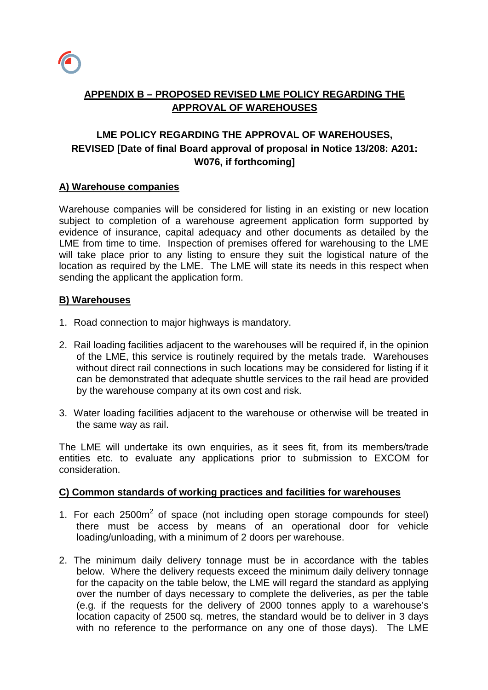

# **APPENDIX B – PROPOSED REVISED LME POLICY REGARDING THE APPROVAL OF WAREHOUSES**

# **LME POLICY REGARDING THE APPROVAL OF WAREHOUSES, REVISED [Date of final Board approval of proposal in Notice 13/208: A201: W076, if forthcoming]**

# **A) Warehouse companies**

Warehouse companies will be considered for listing in an existing or new location subject to completion of a warehouse agreement application form supported by evidence of insurance, capital adequacy and other documents as detailed by the LME from time to time. Inspection of premises offered for warehousing to the LME will take place prior to any listing to ensure they suit the logistical nature of the location as required by the LME. The LME will state its needs in this respect when sending the applicant the application form.

# **B) Warehouses**

- 1. Road connection to major highways is mandatory.
- 2. Rail loading facilities adjacent to the warehouses will be required if, in the opinion of the LME, this service is routinely required by the metals trade. Warehouses without direct rail connections in such locations may be considered for listing if it can be demonstrated that adequate shuttle services to the rail head are provided by the warehouse company at its own cost and risk.
- 3. Water loading facilities adjacent to the warehouse or otherwise will be treated in the same way as rail.

The LME will undertake its own enquiries, as it sees fit, from its members/trade entities etc. to evaluate any applications prior to submission to EXCOM for consideration.

# **C) Common standards of working practices and facilities for warehouses**

- 1. For each 2500m<sup>2</sup> of space (not including open storage compounds for steel) there must be access by means of an operational door for vehicle loading/unloading, with a minimum of 2 doors per warehouse.
- 2. The minimum daily delivery tonnage must be in accordance with the tables below. Where the delivery requests exceed the minimum daily delivery tonnage for the capacity on the table below, the LME will regard the standard as applying over the number of days necessary to complete the deliveries, as per the table (e.g. if the requests for the delivery of 2000 tonnes apply to a warehouse's location capacity of 2500 sq. metres, the standard would be to deliver in 3 days with no reference to the performance on any one of those days). The LME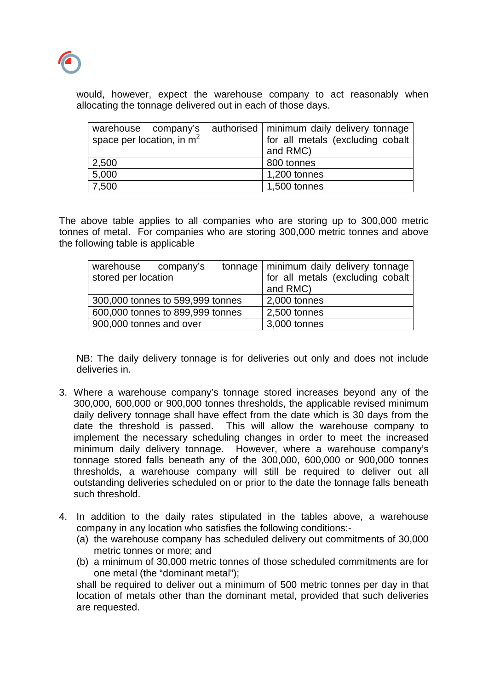

would, however, expect the warehouse company to act reasonably when allocating the tonnage delivered out in each of those days.

| warehouse company's<br>space per location, in $m2$ | authorised   minimum daily delivery tonnage<br>for all metals (excluding cobalt<br>and RMC) |
|----------------------------------------------------|---------------------------------------------------------------------------------------------|
| 2,500                                              | 800 tonnes                                                                                  |
| 5,000                                              | 1,200 tonnes                                                                                |
| 7,500                                              | 1,500 tonnes                                                                                |

The above table applies to all companies who are storing up to 300,000 metric tonnes of metal. For companies who are storing 300,000 metric tonnes and above the following table is applicable

| warehouse company's              |  |  | tonnage   minimum daily delivery tonnage |
|----------------------------------|--|--|------------------------------------------|
| stored per location              |  |  | for all metals (excluding cobalt)        |
|                                  |  |  | and RMC)                                 |
| 300,000 tonnes to 599,999 tonnes |  |  | 2,000 tonnes                             |
| 600,000 tonnes to 899,999 tonnes |  |  | 2,500 tonnes                             |
| 900,000 tonnes and over          |  |  | 3,000 tonnes                             |

NB: The daily delivery tonnage is for deliveries out only and does not include deliveries in.

- 3. Where a warehouse company's tonnage stored increases beyond any of the 300,000, 600,000 or 900,000 tonnes thresholds, the applicable revised minimum daily delivery tonnage shall have effect from the date which is 30 days from the date the threshold is passed. This will allow the warehouse company to implement the necessary scheduling changes in order to meet the increased minimum daily delivery tonnage. However, where a warehouse company's tonnage stored falls beneath any of the 300,000, 600,000 or 900,000 tonnes thresholds, a warehouse company will still be required to deliver out all outstanding deliveries scheduled on or prior to the date the tonnage falls beneath such threshold.
- 4. In addition to the daily rates stipulated in the tables above, a warehouse company in any location who satisfies the following conditions:-
	- (a) the warehouse company has scheduled delivery out commitments of 30,000 metric tonnes or more; and
	- (b) a minimum of 30,000 metric tonnes of those scheduled commitments are for one metal (the "dominant metal");

shall be required to deliver out a minimum of 500 metric tonnes per day in that location of metals other than the dominant metal, provided that such deliveries are requested.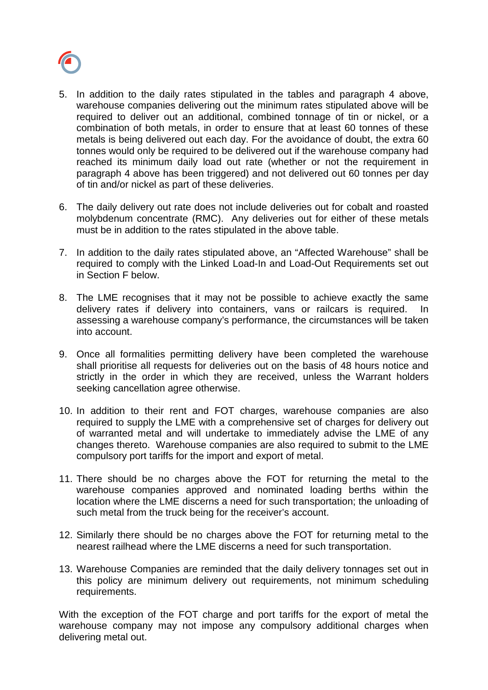

- 5. In addition to the daily rates stipulated in the tables and paragraph 4 above, warehouse companies delivering out the minimum rates stipulated above will be required to deliver out an additional, combined tonnage of tin or nickel, or a combination of both metals, in order to ensure that at least 60 tonnes of these metals is being delivered out each day. For the avoidance of doubt, the extra 60 tonnes would only be required to be delivered out if the warehouse company had reached its minimum daily load out rate (whether or not the requirement in paragraph 4 above has been triggered) and not delivered out 60 tonnes per day of tin and/or nickel as part of these deliveries.
- 6. The daily delivery out rate does not include deliveries out for cobalt and roasted molybdenum concentrate (RMC). Any deliveries out for either of these metals must be in addition to the rates stipulated in the above table.
- 7. In addition to the daily rates stipulated above, an "Affected Warehouse" shall be required to comply with the Linked Load-In and Load-Out Requirements set out in Section F below.
- 8. The LME recognises that it may not be possible to achieve exactly the same delivery rates if delivery into containers, vans or railcars is required. In assessing a warehouse company's performance, the circumstances will be taken into account.
- 9. Once all formalities permitting delivery have been completed the warehouse shall prioritise all requests for deliveries out on the basis of 48 hours notice and strictly in the order in which they are received, unless the Warrant holders seeking cancellation agree otherwise.
- 10. In addition to their rent and FOT charges, warehouse companies are also required to supply the LME with a comprehensive set of charges for delivery out of warranted metal and will undertake to immediately advise the LME of any changes thereto. Warehouse companies are also required to submit to the LME compulsory port tariffs for the import and export of metal.
- 11. There should be no charges above the FOT for returning the metal to the warehouse companies approved and nominated loading berths within the location where the LME discerns a need for such transportation; the unloading of such metal from the truck being for the receiver's account.
- 12. Similarly there should be no charges above the FOT for returning metal to the nearest railhead where the LME discerns a need for such transportation.
- 13. Warehouse Companies are reminded that the daily delivery tonnages set out in this policy are minimum delivery out requirements, not minimum scheduling requirements.

With the exception of the FOT charge and port tariffs for the export of metal the warehouse company may not impose any compulsory additional charges when delivering metal out.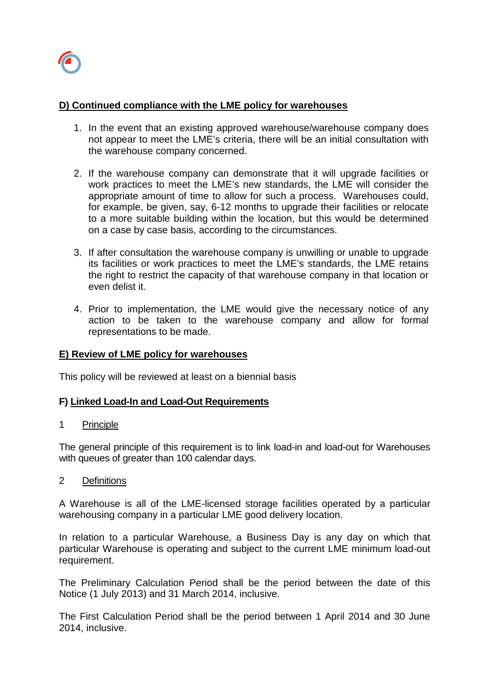# **D) Continued compliance with the LME policy for warehouses**

- 1. In the event that an existing approved warehouse/warehouse company does not appear to meet the LME's criteria, there will be an initial consultation with the warehouse company concerned.
- 2. If the warehouse company can demonstrate that it will upgrade facilities or work practices to meet the LME's new standards, the LME will consider the appropriate amount of time to allow for such a process. Warehouses could, for example, be given, say, 6-12 months to upgrade their facilities or relocate to a more suitable building within the location, but this would be determined on a case by case basis, according to the circumstances.
- 3. If after consultation the warehouse company is unwilling or unable to upgrade its facilities or work practices to meet the LME's standards, the LME retains the right to restrict the capacity of that warehouse company in that location or even delist it.
- 4. Prior to implementation, the LME would give the necessary notice of any action to be taken to the warehouse company and allow for formal representations to be made.

# **E) Review of LME policy for warehouses**

This policy will be reviewed at least on a biennial basis

# **F) Linked Load-In and Load-Out Requirements**

### 1 Principle

The general principle of this requirement is to link load-in and load-out for Warehouses with queues of greater than 100 calendar days.

### 2 Definitions

A Warehouse is all of the LME-licensed storage facilities operated by a particular warehousing company in a particular LME good delivery location.

In relation to a particular Warehouse, a Business Day is any day on which that particular Warehouse is operating and subject to the current LME minimum load-out requirement.

The Preliminary Calculation Period shall be the period between the date of this Notice (1 July 2013) and 31 March 2014, inclusive.

The First Calculation Period shall be the period between 1 April 2014 and 30 June 2014, inclusive.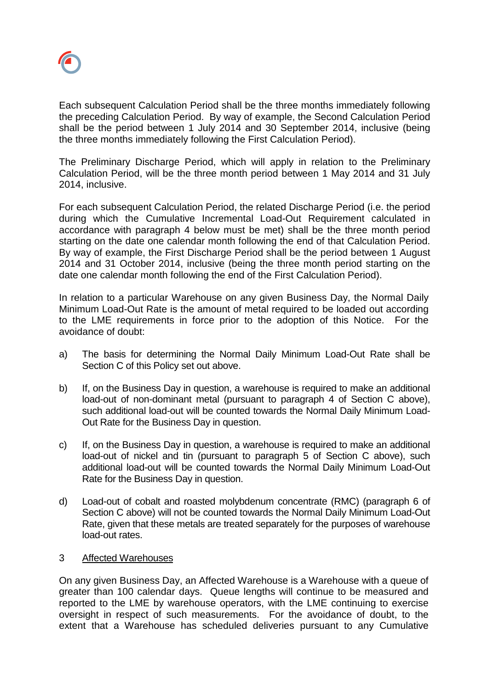

Each subsequent Calculation Period shall be the three months immediately following the preceding Calculation Period. By way of example, the Second Calculation Period shall be the period between 1 July 2014 and 30 September 2014, inclusive (being the three months immediately following the First Calculation Period).

The Preliminary Discharge Period, which will apply in relation to the Preliminary Calculation Period, will be the three month period between 1 May 2014 and 31 July 2014, inclusive.

For each subsequent Calculation Period, the related Discharge Period (i.e. the period during which the Cumulative Incremental Load-Out Requirement calculated in accordance with paragraph 4 below must be met) shall be the three month period starting on the date one calendar month following the end of that Calculation Period. By way of example, the First Discharge Period shall be the period between 1 August 2014 and 31 October 2014, inclusive (being the three month period starting on the date one calendar month following the end of the First Calculation Period).

In relation to a particular Warehouse on any given Business Day, the Normal Daily Minimum Load-Out Rate is the amount of metal required to be loaded out according to the LME requirements in force prior to the adoption of this Notice. For the avoidance of doubt:

- a) The basis for determining the Normal Daily Minimum Load-Out Rate shall be Section C of this Policy set out above.
- b) If, on the Business Day in question, a warehouse is required to make an additional load-out of non-dominant metal (pursuant to paragraph 4 of Section C above), such additional load-out will be counted towards the Normal Daily Minimum Load-Out Rate for the Business Day in question.
- c) If, on the Business Day in question, a warehouse is required to make an additional load-out of nickel and tin (pursuant to paragraph 5 of Section C above), such additional load-out will be counted towards the Normal Daily Minimum Load-Out Rate for the Business Day in question.
- d) Load-out of cobalt and roasted molybdenum concentrate (RMC) (paragraph 6 of Section C above) will not be counted towards the Normal Daily Minimum Load-Out Rate, given that these metals are treated separately for the purposes of warehouse load-out rates.

### 3 Affected Warehouses

On any given Business Day, an Affected Warehouse is a Warehouse with a queue of greater than 100 calendar days. Queue lengths will continue to be measured and reported to the LME by warehouse operators, with the LME continuing to exercise oversight in respect of such measurements. For the avoidance of doubt, to the extent that a Warehouse has scheduled deliveries pursuant to any Cumulative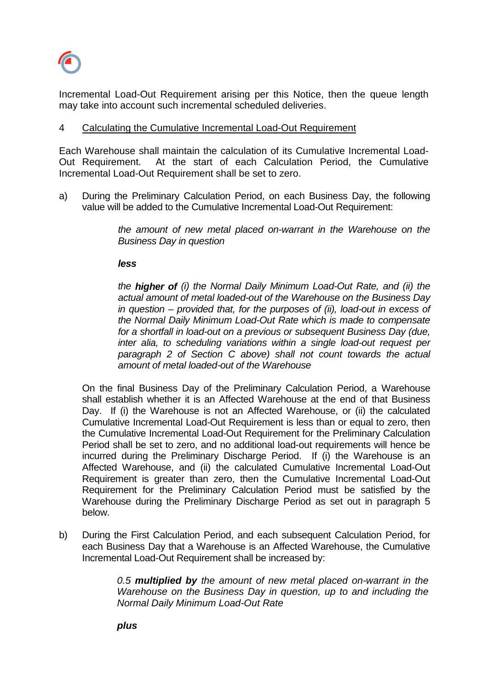

Incremental Load-Out Requirement arising per this Notice, then the queue length may take into account such incremental scheduled deliveries.

### 4 Calculating the Cumulative Incremental Load-Out Requirement

Each Warehouse shall maintain the calculation of its Cumulative Incremental Load-Out Requirement. At the start of each Calculation Period, the Cumulative Incremental Load-Out Requirement shall be set to zero.

a) During the Preliminary Calculation Period, on each Business Day, the following value will be added to the Cumulative Incremental Load-Out Requirement:

> *the amount of new metal placed on-warrant in the Warehouse on the Business Day in question*

*less*

*the higher of (i) the Normal Daily Minimum Load-Out Rate, and (ii) the actual amount of metal loaded-out of the Warehouse on the Business Day in question – provided that, for the purposes of (ii), load-out in excess of the Normal Daily Minimum Load-Out Rate which is made to compensate for a shortfall in load-out on a previous or subsequent Business Day (due, inter alia, to scheduling variations within a single load-out request per paragraph 2 of Section C above) shall not count towards the actual amount of metal loaded-out of the Warehouse*

On the final Business Day of the Preliminary Calculation Period, a Warehouse shall establish whether it is an Affected Warehouse at the end of that Business Day. If (i) the Warehouse is not an Affected Warehouse, or (ii) the calculated Cumulative Incremental Load-Out Requirement is less than or equal to zero, then the Cumulative Incremental Load-Out Requirement for the Preliminary Calculation Period shall be set to zero, and no additional load-out requirements will hence be incurred during the Preliminary Discharge Period. If (i) the Warehouse is an Affected Warehouse, and (ii) the calculated Cumulative Incremental Load-Out Requirement is greater than zero, then the Cumulative Incremental Load-Out Requirement for the Preliminary Calculation Period must be satisfied by the Warehouse during the Preliminary Discharge Period as set out in paragraph 5 below.

b) During the First Calculation Period, and each subsequent Calculation Period, for each Business Day that a Warehouse is an Affected Warehouse, the Cumulative Incremental Load-Out Requirement shall be increased by:

> *0.5 multiplied by the amount of new metal placed on-warrant in the Warehouse on the Business Day in question, up to and including the Normal Daily Minimum Load-Out Rate*

*plus*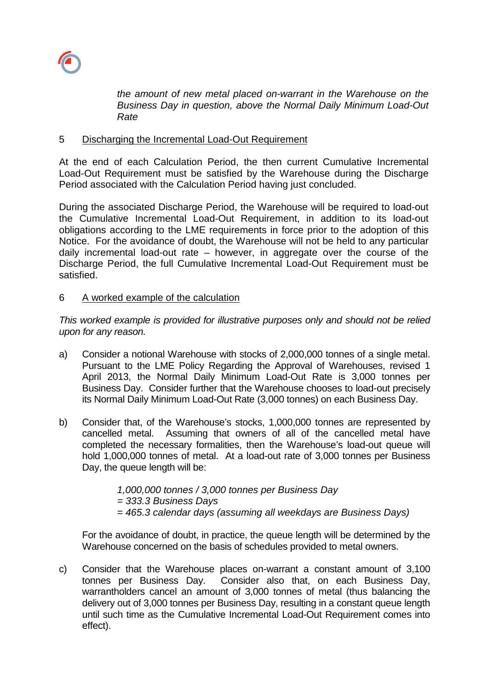

*the amount of new metal placed on-warrant in the Warehouse on the Business Day in question, above the Normal Daily Minimum Load-Out Rate*

## 5 Discharging the Incremental Load-Out Requirement

At the end of each Calculation Period, the then current Cumulative Incremental Load-Out Requirement must be satisfied by the Warehouse during the Discharge Period associated with the Calculation Period having just concluded.

During the associated Discharge Period, the Warehouse will be required to load-out the Cumulative Incremental Load-Out Requirement, in addition to its load-out obligations according to the LME requirements in force prior to the adoption of this Notice. For the avoidance of doubt, the Warehouse will not be held to any particular daily incremental load-out rate – however, in aggregate over the course of the Discharge Period, the full Cumulative Incremental Load-Out Requirement must be satisfied.

## 6 A worked example of the calculation

*This worked example is provided for illustrative purposes only and should not be relied upon for any reason.*

- a) Consider a notional Warehouse with stocks of 2,000,000 tonnes of a single metal. Pursuant to the LME Policy Regarding the Approval of Warehouses, revised 1 April 2013, the Normal Daily Minimum Load-Out Rate is 3,000 tonnes per Business Day. Consider further that the Warehouse chooses to load-out precisely its Normal Daily Minimum Load-Out Rate (3,000 tonnes) on each Business Day.
- b) Consider that, of the Warehouse's stocks, 1,000,000 tonnes are represented by cancelled metal. Assuming that owners of all of the cancelled metal have completed the necessary formalities, then the Warehouse's load-out queue will hold 1,000,000 tonnes of metal. At a load-out rate of 3,000 tonnes per Business Day, the queue length will be:

*1,000,000 tonnes / 3,000 tonnes per Business Day* 

*= 333.3 Business Days*

*= 465.3 calendar days (assuming all weekdays are Business Days)*

For the avoidance of doubt, in practice, the queue length will be determined by the Warehouse concerned on the basis of schedules provided to metal owners.

c) Consider that the Warehouse places on-warrant a constant amount of 3,100 tonnes per Business Day. Consider also that, on each Business Day, warrantholders cancel an amount of 3,000 tonnes of metal (thus balancing the delivery out of 3,000 tonnes per Business Day, resulting in a constant queue length until such time as the Cumulative Incremental Load-Out Requirement comes into effect).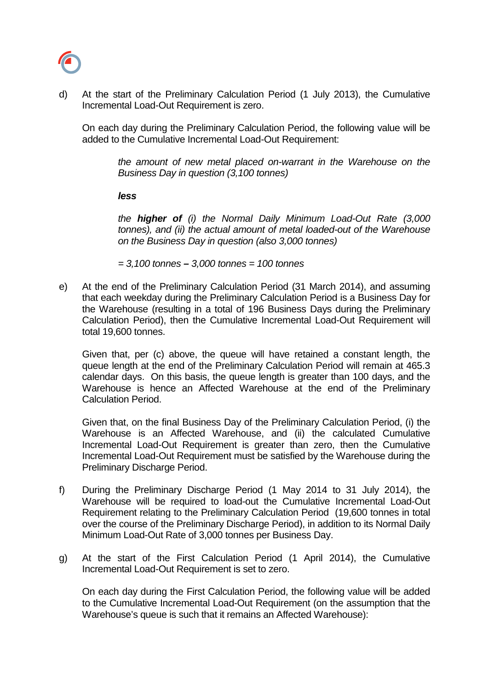

d) At the start of the Preliminary Calculation Period (1 July 2013), the Cumulative Incremental Load-Out Requirement is zero.

On each day during the Preliminary Calculation Period, the following value will be added to the Cumulative Incremental Load-Out Requirement:

*the amount of new metal placed on-warrant in the Warehouse on the Business Day in question (3,100 tonnes)*

*less*

*the higher of (i) the Normal Daily Minimum Load-Out Rate (3,000 tonnes), and (ii) the actual amount of metal loaded-out of the Warehouse on the Business Day in question (also 3,000 tonnes)*

*= 3,100 tonnes – 3,000 tonnes = 100 tonnes*

e) At the end of the Preliminary Calculation Period (31 March 2014), and assuming that each weekday during the Preliminary Calculation Period is a Business Day for the Warehouse (resulting in a total of 196 Business Days during the Preliminary Calculation Period), then the Cumulative Incremental Load-Out Requirement will total 19,600 tonnes.

Given that, per (c) above, the queue will have retained a constant length, the queue length at the end of the Preliminary Calculation Period will remain at 465.3 calendar days. On this basis, the queue length is greater than 100 days, and the Warehouse is hence an Affected Warehouse at the end of the Preliminary Calculation Period.

Given that, on the final Business Day of the Preliminary Calculation Period, (i) the Warehouse is an Affected Warehouse, and (ii) the calculated Cumulative Incremental Load-Out Requirement is greater than zero, then the Cumulative Incremental Load-Out Requirement must be satisfied by the Warehouse during the Preliminary Discharge Period.

- f) During the Preliminary Discharge Period (1 May 2014 to 31 July 2014), the Warehouse will be required to load-out the Cumulative Incremental Load-Out Requirement relating to the Preliminary Calculation Period (19,600 tonnes in total over the course of the Preliminary Discharge Period), in addition to its Normal Daily Minimum Load-Out Rate of 3,000 tonnes per Business Day.
- g) At the start of the First Calculation Period (1 April 2014), the Cumulative Incremental Load-Out Requirement is set to zero.

On each day during the First Calculation Period, the following value will be added to the Cumulative Incremental Load-Out Requirement (on the assumption that the Warehouse's queue is such that it remains an Affected Warehouse):